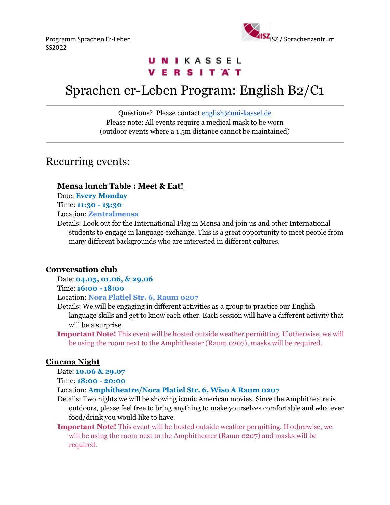

# UNIKASSEL **VERSITAT**

# Sprachen er-Leben Program: English B2/C1

Questions? Please contact [english@uni-kassel.de](mailto:english@uni-kassel.de) Please note: All events require a medical mask to be worn (outdoor events where a 1.5m distance cannot be maintained)

# Recurring events:

## **Mensa lunch Table : Meet & Eat!**

Date: **Every Monday**

Time: **11:30 - 13:30**

Location: **Zentralmensa**

Details: Look out for the International Flag in Mensa and join us and other International students to engage in language exchange. This is a great opportunity to meet people from many different backgrounds who are interested in different cultures.

# **Conversation club**

Date: **04.05, 01.06, & 29.06**

Time: **16:00 - 18:00**

Location: **Nora Platiel Str. 6, Raum 0207**

- Details: We will be engaging in different activities as a group to practice our English language skills and get to know each other. Each session will have a different activity that will be a surprise.
- **Important Note!** This event will be hosted outside weather permitting. If otherwise, we will be using the room next to the Amphitheater (Raum 0207), masks will be required.

# **Cinema Night**

Date: **10.06 & 29.07**

Time: **18:00 - 20:00**

Location: **Amphitheatre/Nora Platiel Str. 6, Wiso A Raum 0207**

- Details: Two nights we will be showing iconic American movies. Since the Amphitheatre is outdoors, please feel free to bring anything to make yourselves comfortable and whatever food/drink you would like to have.
- **Important Note!** This event will be hosted outside weather permitting. If otherwise, we will be using the room next to the Amphitheater (Raum 0207) and masks will be required.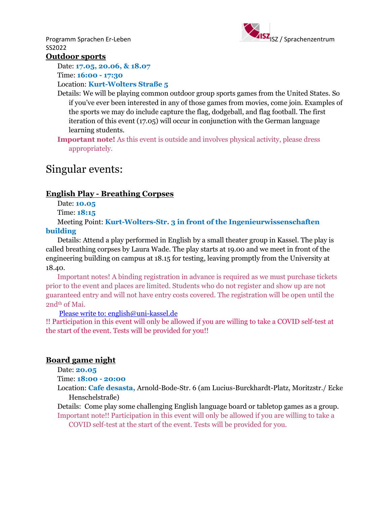SS2022



### **Outdoor sports**

Date: **17.05, 20.06, & 18.07**

Time: **16:00 - 17:30**

### Location: **Kurt-Wolters Straße 5**

- Details: We will be playing common outdoor group sports games from the United States. So if you've ever been interested in any of those games from movies, come join. Examples of the sports we may do include capture the flag, dodgeball, and flag football. The first iteration of this event (17.05) will occur in conjunction with the German language learning students.
- **Important note!** As this event is outside and involves physical activity, please dress appropriately.

# Singular events:

## **English Play - Breathing Corpses**

Date: **10.05**

Time: **18:15**

Meeting Point: **Kurt-Wolters-Str. 3 in front of the Ingenieurwissenschaften building**

Details: Attend a play performed in English by a small theater group in Kassel. The play is called breathing corpses by Laura Wade. The play starts at 19.00 and we meet in front of the engineering building on campus at 18.15 for testing, leaving promptly from the University at 18.40.

Important notes! A binding registration in advance is required as we must purchase tickets prior to the event and places are limited. Students who do not register and show up are not guaranteed entry and will not have entry costs covered. The registration will be open until the 2nd<sup>th</sup> of Mai.

#### [Please](mailto:Please) write to: english@uni-kassel.de

!! Participation in this event will only be allowed if you are willing to take a COVID self-test at the start of the event. Tests will be provided for you!!

### **Board game night**

Date: **20.05**

Time: **18:00 - 20:00**

Location: **Cafe desasta,** Arnold-Bode-Str. 6 (am Lucius-Burckhardt-Platz, Moritzstr./ Ecke Henschelstraße)

Details: Come play some challenging English language board or tabletop games as a group. Important note!! Participation in this event will only be allowed if you are willing to take a

COVID self-test at the start of the event. Tests will be provided for you.